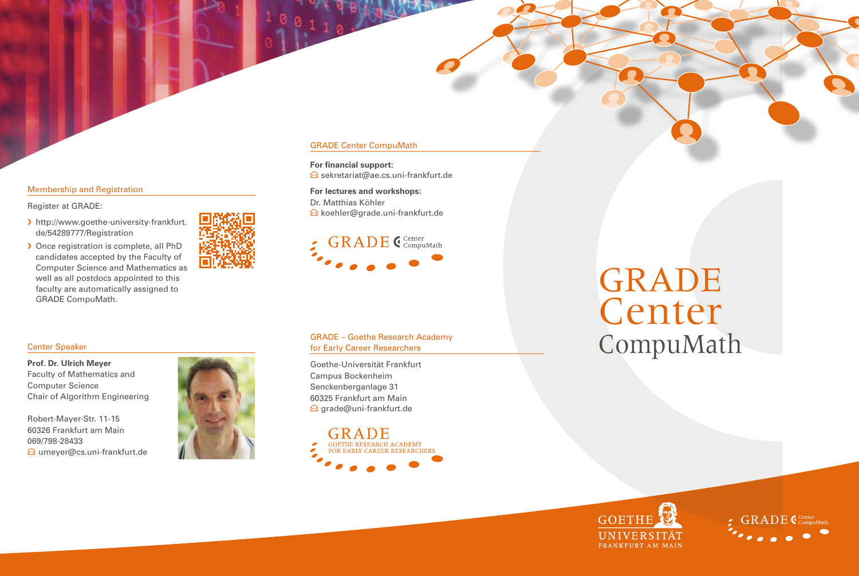# Membership and Registration

Register at GRADE:

- › http://www.goethe-university-frankfurt. de/54289777/Registration
- › Once registration is complete, all PhD candidates accepted by the Faculty of Computer Science and Mathematics as well as all postdocs appointed to this faculty are automatically assigned to GRADE CompuMath.



# GRADE Center CompuMath

**For financial support:**  $\ominus$  sekretariat@ae.cs.uni-frankfurt.de

**For lectures and workshops:** Dr. Matthias Köhler E koehler@grade.uni-frankfurt.de

# **GRADE** CCenter

# Center Speaker

**Prof. Dr. Ulrich Meyer** Faculty of Mathematics and Computer Science Chair of Algorithm Engineering

Robert-Mayer-Str. 11-15 60326 Frankfurt am Main 069/798-28433  $\bigcirc$  umever@cs.uni-frankfurt.de



# GRADE – Goethe Research Academy for Early Career Researchers

Goethe-Universität Frankfurt Campus Bockenheim Senckenberganlage 31 60325 Frankfurt am Main  $\bigcirc$  [grade@uni-frankfurt.de](mailto:grade@uni-frankfurt.de)



# GRADE Center CompuMath